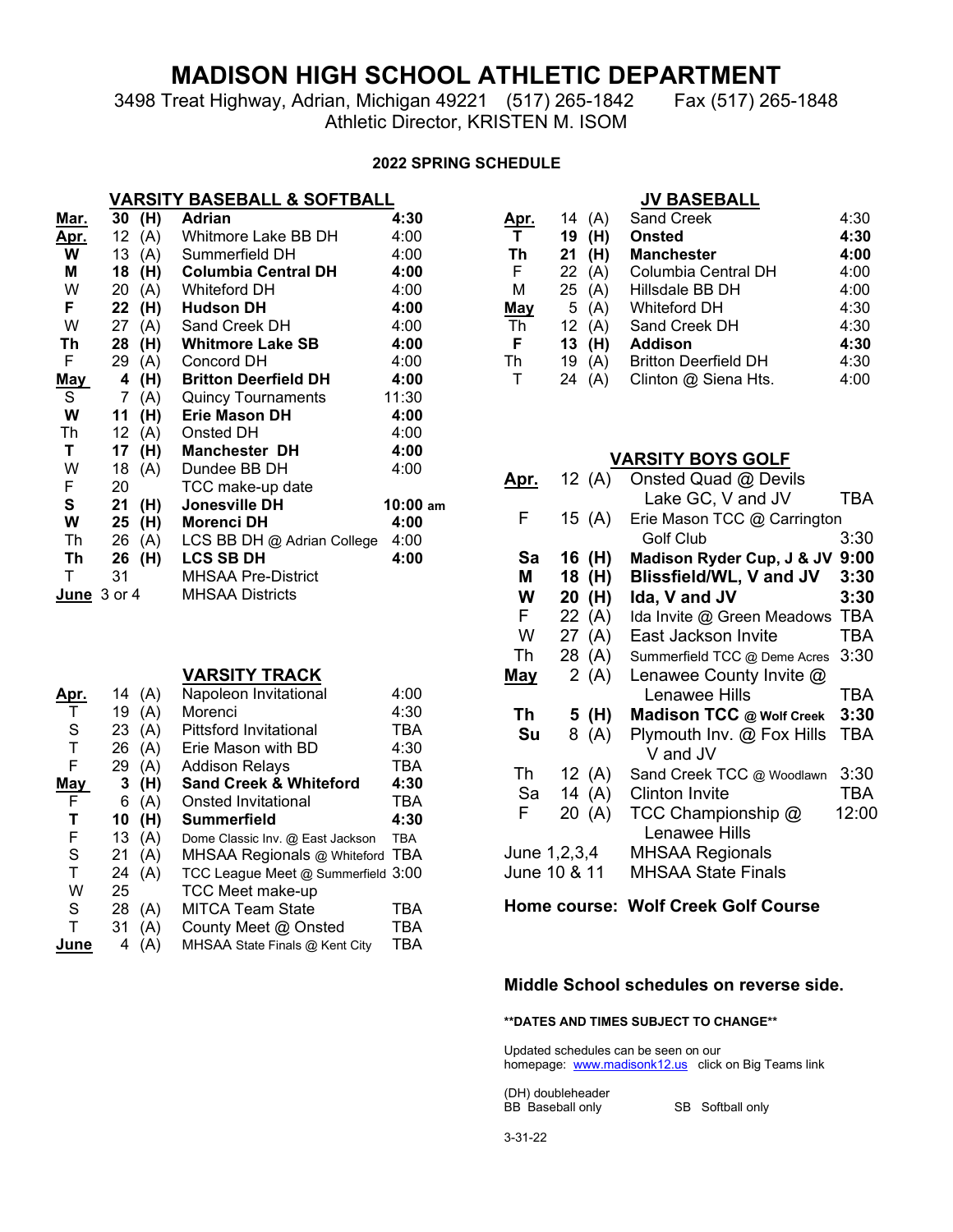# **MADISON HIGH SCHOOL ATHLETIC DEPARTMENT**

3498 Treat Highway, Adrian, Michigan 49221 (517) 265-1842 Fax (517) 265-1848 Athletic Director, KRISTEN M. ISOM

#### **2022 SPRING SCHEDULE**

## **VARSITY BASEBALL & SOFTBALL**

| <u>Mar.</u>            | 30 | (H) | Adrian                      | 4:30     |
|------------------------|----|-----|-----------------------------|----------|
| <u>Apr.</u>            | 12 | (A) | Whitmore Lake BB DH         | 4:00     |
| W                      | 13 | (A) | Summerfield DH              | 4:00     |
| Μ                      | 18 | (H) | <b>Columbia Central DH</b>  | 4:00     |
| W                      | 20 | (A) | <b>Whiteford DH</b>         | 4:00     |
| F.                     | 22 | (H) | <b>Hudson DH</b>            | 4:00     |
| W                      | 27 | (A) | Sand Creek DH               | 4:00     |
| Τh                     | 28 | (H) | Whitmore Lake SB            | 4:00     |
| F                      | 29 | (A) | Concord DH                  | 4:00     |
| May                    | 4  | (H) | <b>Britton Deerfield DH</b> | 4:00     |
| S                      | 7  | (A) | <b>Quincy Tournaments</b>   | 11:30    |
| W                      | 11 | (H) | <b>Erie Mason DH</b>        | 4:00     |
| Th                     | 12 | (A) | Onsted DH                   | 4:00     |
| Τ                      | 17 | (H) | <b>Manchester DH</b>        | 4:00     |
| W                      | 18 | (A) | Dundee BB DH                | 4:00     |
| F.                     | 20 |     | TCC make-up date            |          |
| S                      | 21 | (H) | Jonesville DH               | 10:00 am |
| W                      | 25 | (H) | Morenci DH                  | 4:00     |
| Th                     | 26 | (A) | LCS BB DH @ Adrian College  | 4:00     |
| Th                     | 26 | (H) | <b>LCS SB DH</b>            | 4:00     |
| Τ                      | 31 |     | <b>MHSAA Pre-District</b>   |          |
| <b>June</b> $3$ or $4$ |    |     | MHSAA Districts             |          |
|                        |    |     |                             |          |

#### **VARSITY TRACK**

| Apr. | 14 | (A) | Napoleon Invitational              | 4:00       |
|------|----|-----|------------------------------------|------------|
| т    | 19 | (A) | Morenci                            | 4:30       |
| S    | 23 | (A) | <b>Pittsford Invitational</b>      | TBA        |
| T    | 26 | (A) | Erie Mason with BD                 | 4:30       |
| F    | 29 | (A) | <b>Addison Relays</b>              | TBA        |
| May  | 3  | (H) | <b>Sand Creek &amp; Whiteford</b>  | 4:30       |
| F    | 6  | (A) | Onsted Invitational                | <b>TBA</b> |
| Т    | 10 | (H) | Summerfield                        | 4:30       |
| F    | 13 | (A) | Dome Classic Inv. @ East Jackson   | <b>TBA</b> |
| S    | 21 | (A) | MHSAA Regionals @ Whiteford TBA    |            |
| т    | 24 | (A) | TCC League Meet @ Summerfield 3:00 |            |
| W    | 25 |     | <b>TCC Meet make-up</b>            |            |
| S    | 28 | (A) | <b>MITCA Team State</b>            | TBA        |
| Т    | 31 | (A) | County Meet @ Onsted               | TBA        |
| June | 4  | (A) | MHSAA State Finals @ Kent City     | TBA        |

|      |           | <b>JV BASEBALL</b>          |      |
|------|-----------|-----------------------------|------|
| Apr. | (A)<br>14 | <b>Sand Creek</b>           | 4:30 |
| т    | (H)<br>19 | <b>Onsted</b>               | 4:30 |
| Th   | (H)<br>21 | <b>Manchester</b>           | 4:00 |
| E    | (A)<br>22 | Columbia Central DH         | 4:00 |
| м    | 25 (A)    | Hillsdale BB DH             | 4:00 |
| May  | (A)<br>5  | Whiteford DH                | 4:30 |
| Th   | (A)<br>12 | Sand Creek DH               | 4:30 |
| F    | (H)<br>13 | Addison                     | 4:30 |
| Th   | (A)<br>19 | <b>Britton Deerfield DH</b> | 4:30 |
|      | (A)<br>24 | Clinton @ Siena Hts.        | 4:00 |

## **VARSITY BOYS GOLF**

| 12 (A)       | Onsted Quad @ Devils                       |                                                                      |
|--------------|--------------------------------------------|----------------------------------------------------------------------|
|              | Lake GC, V and JV                          | TBA                                                                  |
| 15 $(A)$     |                                            |                                                                      |
|              | <b>Golf Club</b>                           | 3:30                                                                 |
| 16 (H)       | Madison Ryder Cup, J & JV                  | 9:00                                                                 |
| 18 (H)       | Blissfield/WL, V and JV                    | 3:30                                                                 |
| 20 (H)       | Ida, V and JV                              | 3:30                                                                 |
| 22 $(A)$     | Ida Invite @ Green Meadows                 | TBA                                                                  |
| 27 (A)       | East Jackson Invite                        | <b>TBA</b>                                                           |
| 28 (A)       | Summerfield TCC @ Deme Acres               | 3:30                                                                 |
| 2(A)         | Lenawee County Invite @                    |                                                                      |
|              | Lenawee Hills                              | TBA                                                                  |
| 5 (H)        | Madison TCC @ Wolf Creek                   | 3:30                                                                 |
| 8 (A)        | Plymouth Inv. @ Fox Hills                  | <b>TBA</b>                                                           |
|              |                                            | 3:30                                                                 |
|              | <b>Clinton Invite</b>                      | TBA                                                                  |
| 20 (A)       | TCC Championship @<br><b>Lenawee Hills</b> | 12:00                                                                |
| June 1,2,3,4 | <b>MHSAA Regionals</b>                     |                                                                      |
| June 10 & 11 | <b>MHSAA State Finals</b>                  |                                                                      |
|              | 12 $(A)$<br>14 $(A)$                       | Erie Mason TCC @ Carrington<br>V and JV<br>Sand Creek TCC @ Woodlawn |

### **Home course: Wolf Creek Golf Course**

### **Middle School schedules on reverse side.**

#### **\*\*DATES AND TIMES SUBJECT TO CHANGE\*\***

Updated schedules can be seen on our homepage: [www.madisonk12.us](http://www.madisonk12.us/) click on Big Teams link

(DH) doubleheader

SB Softball only

3-31-22